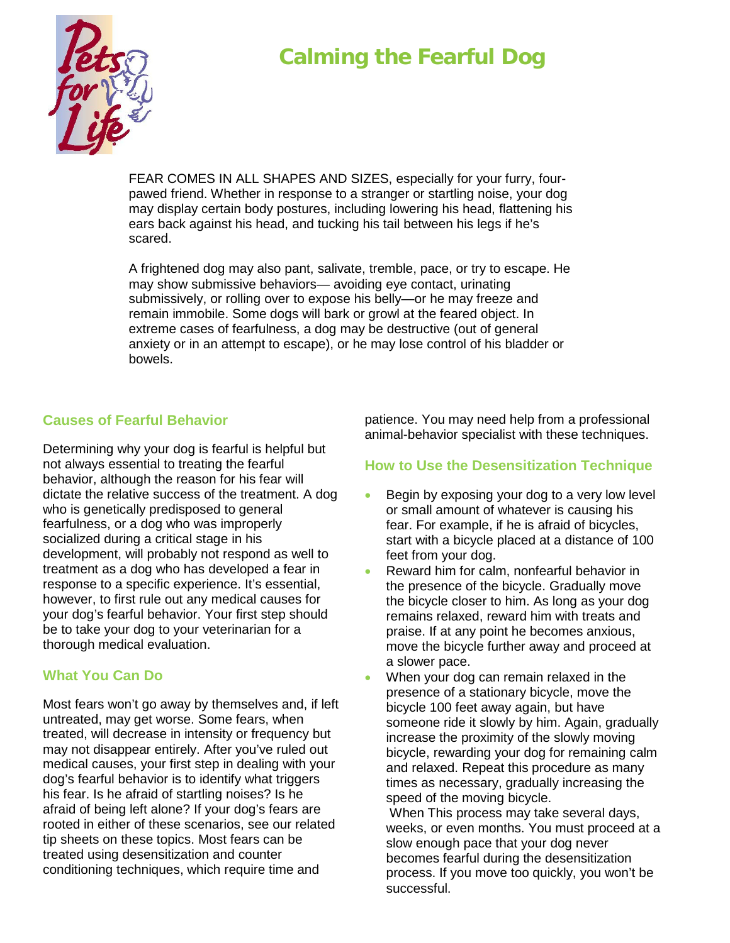# **Calming the Fearful Dog**



FEAR COMES IN ALL SHAPES AND SIZES, especially for your furry, fourpawed friend. Whether in response to a stranger or startling noise, your dog may display certain body postures, including lowering his head, flattening his ears back against his head, and tucking his tail between his legs if he's scared.

A frightened dog may also pant, salivate, tremble, pace, or try to escape. He may show submissive behaviors— avoiding eye contact, urinating submissively, or rolling over to expose his belly—or he may freeze and remain immobile. Some dogs will bark or growl at the feared object. In extreme cases of fearfulness, a dog may be destructive (out of general anxiety or in an attempt to escape), or he may lose control of his bladder or bowels.

#### **Causes of Fearful Behavior**

Determining why your dog is fearful is helpful but not always essential to treating the fearful behavior, although the reason for his fear will dictate the relative success of the treatment. A dog who is genetically predisposed to general fearfulness, or a dog who was improperly socialized during a critical stage in his development, will probably not respond as well to treatment as a dog who has developed a fear in response to a specific experience. It's essential, however, to first rule out any medical causes for your dog's fearful behavior. Your first step should be to take your dog to your veterinarian for a thorough medical evaluation.

#### **What You Can Do**

Most fears won't go away by themselves and, if left untreated, may get worse. Some fears, when treated, will decrease in intensity or frequency but may not disappear entirely. After you've ruled out medical causes, your first step in dealing with your dog's fearful behavior is to identify what triggers his fear. Is he afraid of startling noises? Is he afraid of being left alone? If your dog's fears are rooted in either of these scenarios, see our related tip sheets on these topics. Most fears can be treated using desensitization and counter conditioning techniques, which require time and

patience. You may need help from a professional animal-behavior specialist with these techniques.

#### **How to Use the Desensitization Technique**

- Begin by exposing your dog to a very low level or small amount of whatever is causing his fear. For example, if he is afraid of bicycles, start with a bicycle placed at a distance of 100 feet from your dog.
- Reward him for calm, nonfearful behavior in the presence of the bicycle. Gradually move the bicycle closer to him. As long as your dog remains relaxed, reward him with treats and praise. If at any point he becomes anxious, move the bicycle further away and proceed at a slower pace.
- When your dog can remain relaxed in the presence of a stationary bicycle, move the bicycle 100 feet away again, but have someone ride it slowly by him. Again, gradually increase the proximity of the slowly moving bicycle, rewarding your dog for remaining calm and relaxed. Repeat this procedure as many times as necessary, gradually increasing the speed of the moving bicycle.

When This process may take several days, weeks, or even months. You must proceed at a slow enough pace that your dog never becomes fearful during the desensitization process. If you move too quickly, you won't be successful.